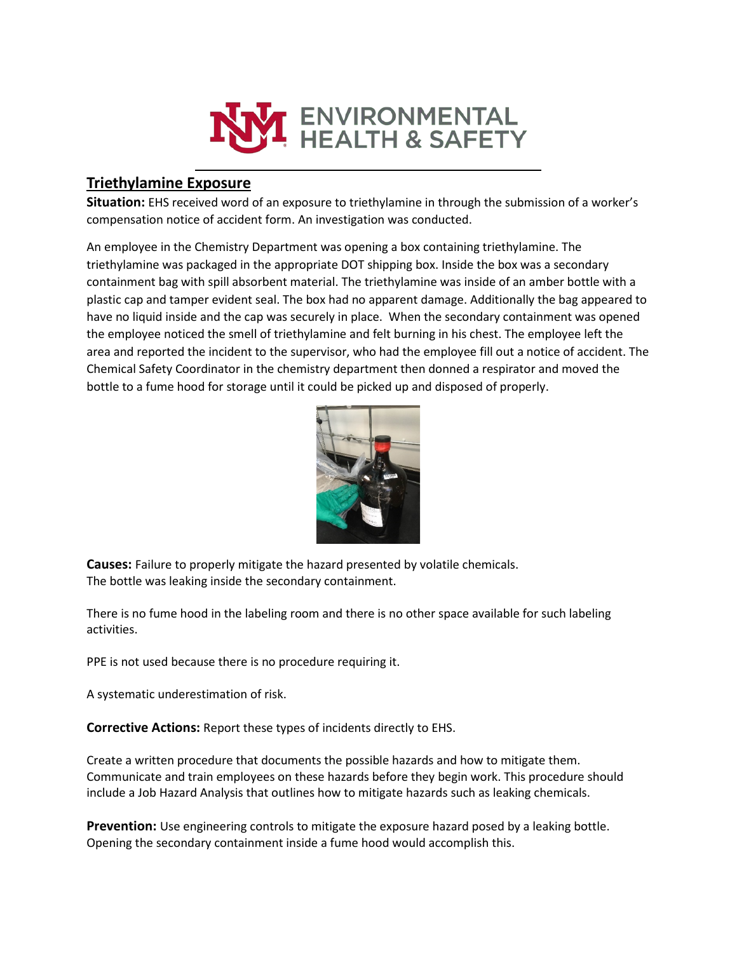

## **Triethylamine Exposure**

**Situation:** EHS received word of an exposure to triethylamine in through the submission of a worker's compensation notice of accident form. An investigation was conducted.

An employee in the Chemistry Department was opening a box containing triethylamine. The triethylamine was packaged in the appropriate DOT shipping box. Inside the box was a secondary containment bag with spill absorbent material. The triethylamine was inside of an amber bottle with a plastic cap and tamper evident seal. The box had no apparent damage. Additionally the bag appeared to have no liquid inside and the cap was securely in place. When the secondary containment was opened the employee noticed the smell of triethylamine and felt burning in his chest. The employee left the area and reported the incident to the supervisor, who had the employee fill out a notice of accident. The Chemical Safety Coordinator in the chemistry department then donned a respirator and moved the bottle to a fume hood for storage until it could be picked up and disposed of properly.



**Causes:** Failure to properly mitigate the hazard presented by volatile chemicals. The bottle was leaking inside the secondary containment.

There is no fume hood in the labeling room and there is no other space available for such labeling activities.

PPE is not used because there is no procedure requiring it.

A systematic underestimation of risk.

**Corrective Actions:** Report these types of incidents directly to EHS.

Create a written procedure that documents the possible hazards and how to mitigate them. Communicate and train employees on these hazards before they begin work. This procedure should include a Job Hazard Analysis that outlines how to mitigate hazards such as leaking chemicals.

**Prevention:** Use engineering controls to mitigate the exposure hazard posed by a leaking bottle. Opening the secondary containment inside a fume hood would accomplish this.